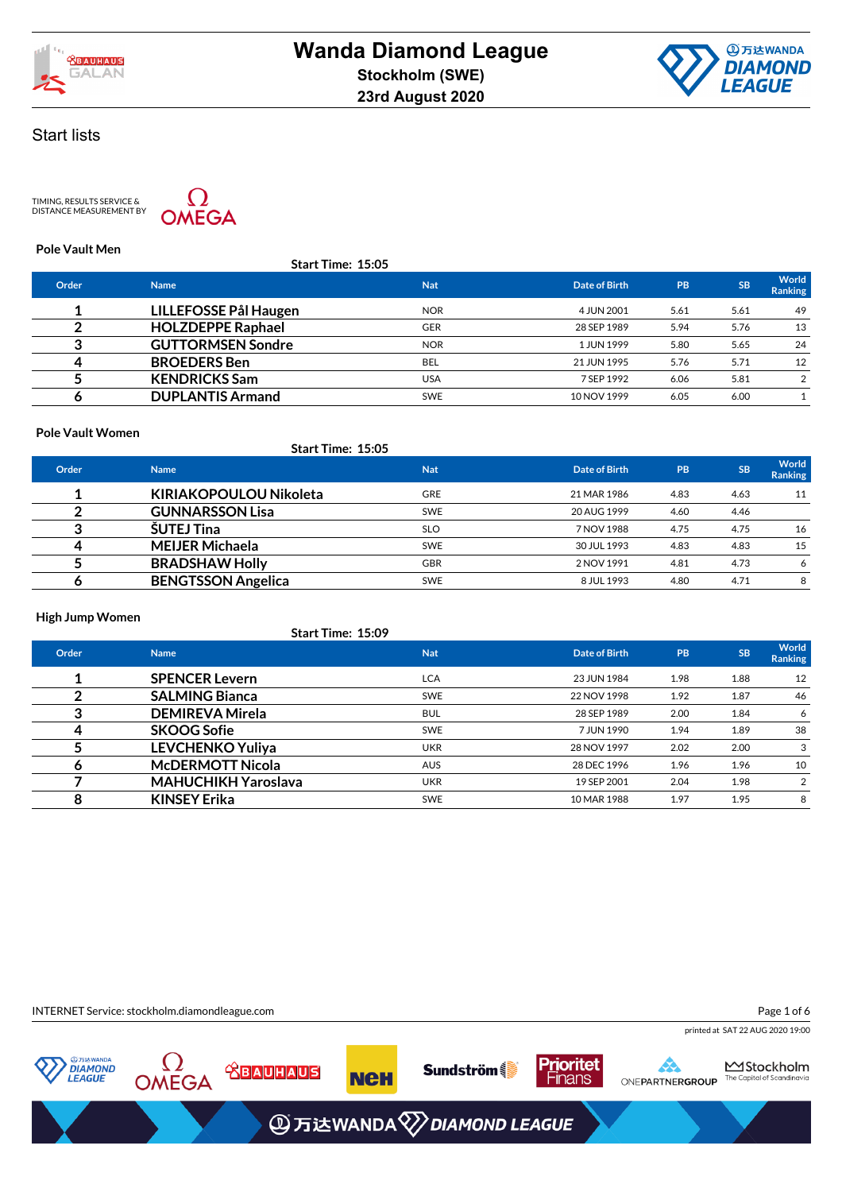



TIMING, RESULTS SERVICE &<br>DISTANCE MEASUREMENT BY



### **Pole Vault Men**

|       | <b>Start Time: 15:05</b> |            |               |           |           |                         |
|-------|--------------------------|------------|---------------|-----------|-----------|-------------------------|
| Order | <b>Name</b>              | <b>Nat</b> | Date of Birth | <b>PB</b> | <b>SB</b> | World<br><b>Ranking</b> |
|       | LILLEFOSSE Pål Haugen    | <b>NOR</b> | 4 JUN 2001    | 5.61      | 5.61      | 49                      |
|       | <b>HOLZDEPPE Raphael</b> | <b>GER</b> | 28 SEP 1989   | 5.94      | 5.76      | 13                      |
| ◠     | <b>GUTTORMSEN Sondre</b> | <b>NOR</b> | 1 JUN 1999    | 5.80      | 5.65      | 24                      |
|       | <b>BROEDERS</b> Ben      | <b>BEL</b> | 21 JUN 1995   | 5.76      | 5.71      | 12                      |
|       | <b>KENDRICKS Sam</b>     | <b>USA</b> | 7 SEP 1992    | 6.06      | 5.81      |                         |
|       | <b>DUPLANTIS Armand</b>  | <b>SWE</b> | 10 NOV 1999   | 6.05      | 6.00      |                         |
|       |                          |            |               |           |           |                         |

#### **Pole Vault Women**

|       | <b>Start Time: 15:05</b>      |            |               |      |           |                         |
|-------|-------------------------------|------------|---------------|------|-----------|-------------------------|
| Order | <b>Name</b>                   | <b>Nat</b> | Date of Birth | PB   | <b>SB</b> | World<br><b>Ranking</b> |
|       | <b>KIRIAKOPOULOU Nikoleta</b> | <b>GRE</b> | 21 MAR 1986   | 4.83 | 4.63      | 11                      |
|       | <b>GUNNARSSON Lisa</b>        | <b>SWE</b> | 20 AUG 1999   | 4.60 | 4.46      |                         |
|       | <b>ŠUTEJ Tina</b>             | <b>SLO</b> | 7 NOV 1988    | 4.75 | 4.75      | 16                      |
|       | <b>MEIJER Michaela</b>        | <b>SWE</b> | 30 JUL 1993   | 4.83 | 4.83      | 15                      |
|       | <b>BRADSHAW Holly</b>         | <b>GBR</b> | 2 NOV 1991    | 4.81 | 4.73      | 6                       |
|       | <b>BENGTSSON Angelica</b>     | <b>SWE</b> | 8 JUL 1993    | 4.80 | 4.71      | 8                       |

### **High Jump Women**

|  | <b>Start Time: 15:09</b> |
|--|--------------------------|
|  |                          |

| Order | <b>Name</b>                | <b>Nat</b> | Date of Birth | <b>PB</b> | <b>SB</b> | <b>World</b><br><b>Ranking</b> |
|-------|----------------------------|------------|---------------|-----------|-----------|--------------------------------|
|       | <b>SPENCER Levern</b>      | <b>LCA</b> | 23 JUN 1984   | 1.98      | 1.88      | 12                             |
|       | <b>SALMING Bianca</b>      | <b>SWE</b> | 22 NOV 1998   | 1.92      | 1.87      | 46                             |
|       | <b>DEMIREVA Mirela</b>     | <b>BUL</b> | 28 SEP 1989   | 2.00      | 1.84      | 6                              |
| 4     | <b>SKOOG Sofie</b>         | <b>SWE</b> | 7 JUN 1990    | 1.94      | 1.89      | 38                             |
|       | <b>LEVCHENKO Yuliya</b>    | <b>UKR</b> | 28 NOV 1997   | 2.02      | 2.00      |                                |
| О     | <b>McDERMOTT Nicola</b>    | <b>AUS</b> | 28 DEC 1996   | 1.96      | 1.96      | 10                             |
|       | <b>MAHUCHIKH Yaroslava</b> | <b>UKR</b> | 19 SEP 2001   | 2.04      | 1.98      |                                |
| 8     | <b>KINSEY Erika</b>        | <b>SWE</b> | 10 MAR 1988   | 1.97      | 1.95      | 8                              |

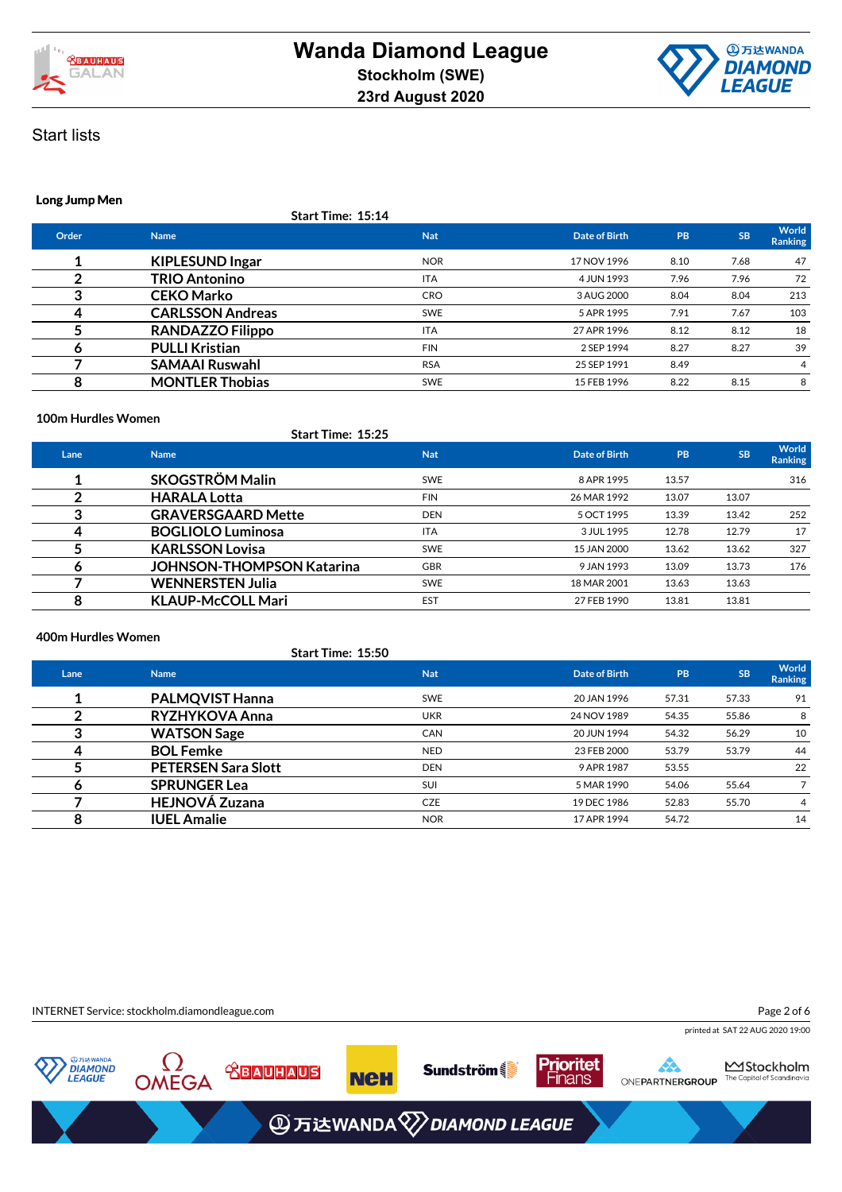



### **Long Jump Men**

**Start Time: 15:14**

| Order | <b>Name</b>             | <b>Nat</b> | Date of Birth | PB   | <b>SB</b> | World<br><b>Ranking</b> |
|-------|-------------------------|------------|---------------|------|-----------|-------------------------|
|       | <b>KIPLESUND Ingar</b>  | <b>NOR</b> | 17 NOV 1996   | 8.10 | 7.68      | 47                      |
|       | <b>TRIO Antonino</b>    | <b>ITA</b> | 4 JUN 1993    | 7.96 | 7.96      | 72                      |
|       | <b>CEKO Marko</b>       | <b>CRO</b> | 3 AUG 2000    | 8.04 | 8.04      | 213                     |
|       | <b>CARLSSON Andreas</b> | <b>SWE</b> | 5 APR 1995    | 7.91 | 7.67      | 103                     |
|       | <b>RANDAZZO Filippo</b> | <b>ITA</b> | 27 APR 1996   | 8.12 | 8.12      | 18                      |
| o     | <b>PULLI Kristian</b>   | <b>FIN</b> | 2 SEP 1994    | 8.27 | 8.27      | 39                      |
|       | <b>SAMAAI Ruswahl</b>   | <b>RSA</b> | 25 SEP 1991   | 8.49 |           | 4                       |
| 8     | <b>MONTLER Thobias</b>  | <b>SWE</b> | 15 FEB 1996   | 8.22 | 8.15      | 8                       |
|       |                         |            |               |      |           |                         |

### **100m Hurdles Women**

|      | Start Time: 15:25                |            |               |           |           |                  |
|------|----------------------------------|------------|---------------|-----------|-----------|------------------|
| Lane | <b>Name</b>                      | <b>Nat</b> | Date of Birth | <b>PB</b> | <b>SB</b> | World<br>Ranking |
|      | <b>SKOGSTRÖM Malin</b>           | <b>SWE</b> | 8 APR 1995    | 13.57     |           | 316              |
|      | <b>HARALA Lotta</b>              | <b>FIN</b> | 26 MAR 1992   | 13.07     | 13.07     |                  |
| 3    | <b>GRAVERSGAARD Mette</b>        | <b>DEN</b> | 5 OCT 1995    | 13.39     | 13.42     | 252              |
|      | <b>BOGLIOLO Luminosa</b>         | <b>ITA</b> | 3 JUL 1995    | 12.78     | 12.79     | 17               |
|      | <b>KARLSSON Lovisa</b>           | <b>SWE</b> | 15 JAN 2000   | 13.62     | 13.62     | 327              |
| o    | <b>JOHNSON-THOMPSON Katarina</b> | <b>GBR</b> | 9 JAN 1993    | 13.09     | 13.73     | 176              |
|      | <b>WENNERSTEN Julia</b>          | <b>SWE</b> | 18 MAR 2001   | 13.63     | 13.63     |                  |
| 8    | <b>KLAUP-McCOLL Mari</b>         | <b>EST</b> | 27 FEB 1990   | 13.81     | 13.81     |                  |

### **400m Hurdles Women**

|      |                            | <b>Start Time: 15:50</b> |               |       |           |                  |
|------|----------------------------|--------------------------|---------------|-------|-----------|------------------|
| Lane | <b>Name</b>                | <b>Nat</b>               | Date of Birth | PB    | <b>SB</b> | World<br>Ranking |
|      | <b>PALMQVIST Hanna</b>     | <b>SWE</b>               | 20 JAN 1996   | 57.31 | 57.33     | 91               |
|      | RYZHYKOVA Anna             | <b>UKR</b>               | 24 NOV 1989   | 54.35 | 55.86     | 8                |
| ≘    | <b>WATSON Sage</b>         | CAN                      | 20 JUN 1994   | 54.32 | 56.29     | 10               |
| 4    | <b>BOL Femke</b>           | <b>NED</b>               | 23 FEB 2000   | 53.79 | 53.79     | 44               |
|      | <b>PETERSEN Sara Slott</b> | <b>DEN</b>               | 9 APR 1987    | 53.55 |           | 22               |
| o    | <b>SPRUNGER Lea</b>        | SUI                      | 5 MAR 1990    | 54.06 | 55.64     |                  |
|      | <b>HEJNOVÁ Zuzana</b>      | <b>CZE</b>               | 19 DEC 1986   | 52.83 | 55.70     | 4                |
| 8    | <b>IUEL Amalie</b>         | <b>NOR</b>               | 17 APR 1994   | 54.72 |           | 14               |
|      |                            |                          |               |       |           |                  |

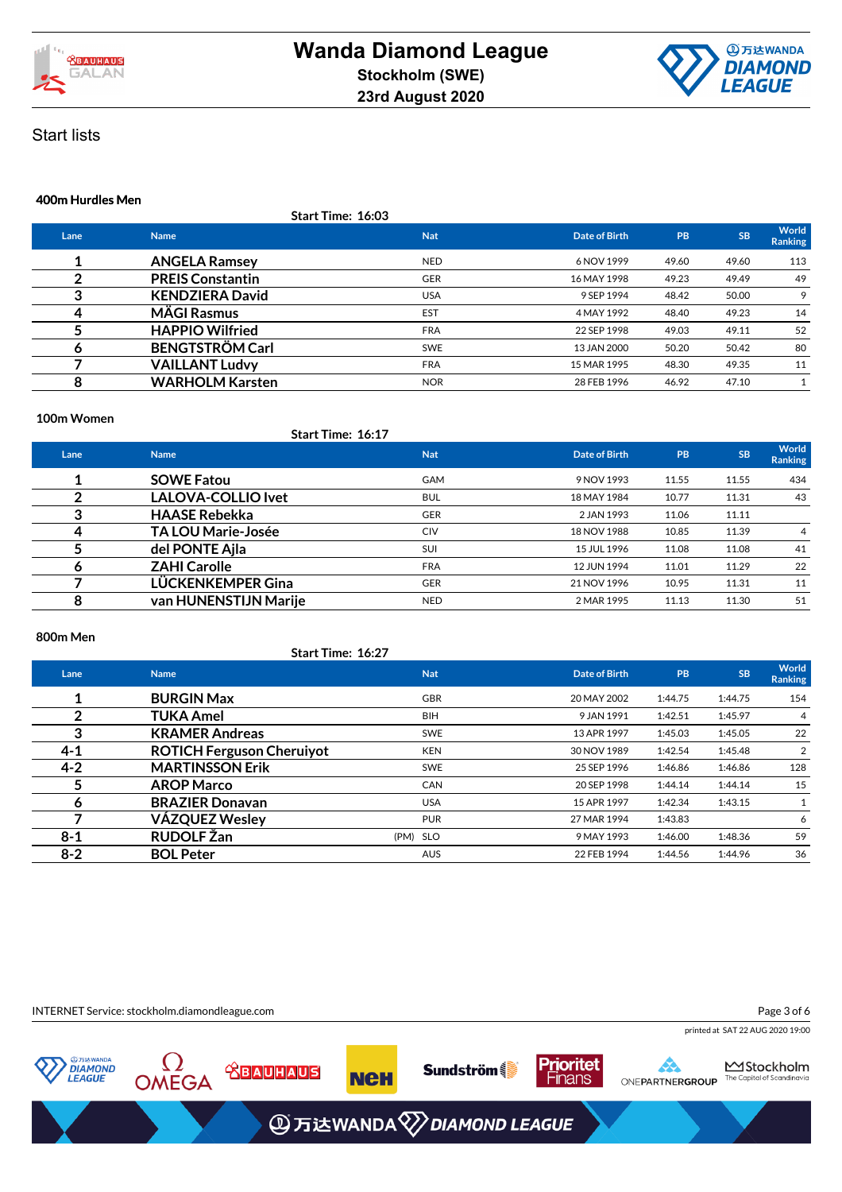



#### **400m Hurdles Men**

|      |                         | Start Time: 16:03 |               |       |           |                         |
|------|-------------------------|-------------------|---------------|-------|-----------|-------------------------|
| Lane | <b>Name</b>             | <b>Nat</b>        | Date of Birth | PB    | <b>SB</b> | World<br><b>Ranking</b> |
|      | <b>ANGELA Ramsey</b>    | <b>NED</b>        | 6 NOV 1999    | 49.60 | 49.60     | 113                     |
|      | <b>PREIS Constantin</b> | <b>GER</b>        | 16 MAY 1998   | 49.23 | 49.49     | 49                      |
| 3    | <b>KENDZIERA David</b>  | <b>USA</b>        | 9 SEP 1994    | 48.42 | 50.00     | 9                       |
| 4    | <b>MÄGI Rasmus</b>      | <b>EST</b>        | 4 MAY 1992    | 48.40 | 49.23     | 14                      |
|      | <b>HAPPIO Wilfried</b>  | <b>FRA</b>        | 22 SEP 1998   | 49.03 | 49.11     | 52                      |
|      | <b>BENGTSTRÖM Carl</b>  | <b>SWE</b>        | 13 JAN 2000   | 50.20 | 50.42     | 80                      |
|      | <b>VAILLANT Ludvy</b>   | <b>FRA</b>        | 15 MAR 1995   | 48.30 | 49.35     | 11                      |
| 8    | <b>WARHOLM Karsten</b>  | <b>NOR</b>        | 28 FEB 1996   | 46.92 | 47.10     |                         |

### **100m Women**

|      | <b>Start Time: 16:17</b>  |            |               |           |           |                         |
|------|---------------------------|------------|---------------|-----------|-----------|-------------------------|
| Lane | <b>Name</b>               | <b>Nat</b> | Date of Birth | <b>PB</b> | <b>SB</b> | <b>World</b><br>Ranking |
|      | <b>SOWE Fatou</b>         | <b>GAM</b> | 9 NOV 1993    | 11.55     | 11.55     | 434                     |
|      | <b>LALOVA-COLLIO Ivet</b> | <b>BUL</b> | 18 MAY 1984   | 10.77     | 11.31     | 43                      |
| 3    | <b>HAASE Rebekka</b>      | <b>GER</b> | 2 JAN 1993    | 11.06     | 11.11     |                         |
|      | <b>TA LOU Marie-Josée</b> | <b>CIV</b> | 18 NOV 1988   | 10.85     | 11.39     | 4                       |
|      | del PONTE Ajla            | SUI        | 15 JUL 1996   | 11.08     | 11.08     | 41                      |
| o    | <b>ZAHI Carolle</b>       | <b>FRA</b> | 12 JUN 1994   | 11.01     | 11.29     | 22                      |
|      | LÜCKENKEMPER Gina         | <b>GER</b> | 21 NOV 1996   | 10.95     | 11.31     | 11                      |
| 8    | van HUNENSTIJN Marije     | <b>NED</b> | 2 MAR 1995    | 11.13     | 11.30     | 51                      |

### **800m Men**

|         | <b>Start Time: 16:27</b>         |            |               |         |           |                  |
|---------|----------------------------------|------------|---------------|---------|-----------|------------------|
| Lane    | <b>Name</b>                      | <b>Nat</b> | Date of Birth | PB      | <b>SB</b> | World<br>Ranking |
|         | <b>BURGIN Max</b>                | <b>GBR</b> | 20 MAY 2002   | 1:44.75 | 1:44.75   | 154              |
| າ       | TUKA Amel                        | <b>BIH</b> | 9 JAN 1991    | 1:42.51 | 1:45.97   | 4                |
| 3       | <b>KRAMER Andreas</b>            | <b>SWE</b> | 13 APR 1997   | 1:45.03 | 1:45.05   | 22               |
| 4-1     | <b>ROTICH Ferguson Cheruiyot</b> | <b>KEN</b> | 30 NOV 1989   | 1:42.54 | 1:45.48   | 2                |
| $4 - 2$ | <b>MARTINSSON Erik</b>           | <b>SWE</b> | 25 SEP 1996   | 1:46.86 | 1:46.86   | 128              |
| 5       | <b>AROP Marco</b>                | <b>CAN</b> | 20 SEP 1998   | 1:44.14 | 1:44.14   | 15               |
| 6       | <b>BRAZIER Donavan</b>           | <b>USA</b> | 15 APR 1997   | 1:42.34 | 1:43.15   |                  |
|         | VÁZQUEZ Wesley                   | <b>PUR</b> | 27 MAR 1994   | 1:43.83 |           | 6                |
| $8 - 1$ | <b>RUDOLF Žan</b>                | (PM) SLO   | 9 MAY 1993    | 1:46.00 | 1:48.36   | 59               |
| $8 - 2$ | <b>BOL Peter</b>                 | <b>AUS</b> | 22 FEB 1994   | 1:44.56 | 1:44.96   | 36               |
|         |                                  |            |               |         |           |                  |

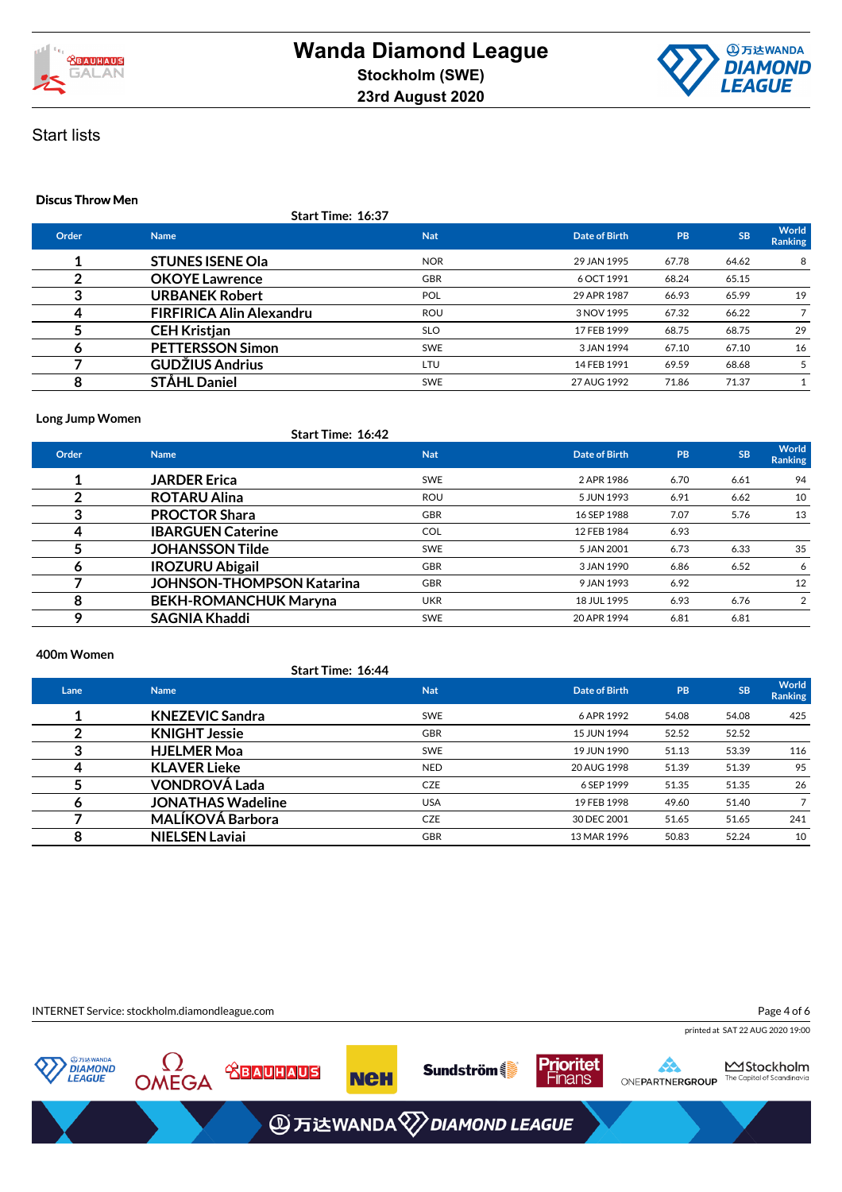



### **Discus Throw Men**

|  | <b>Start Time: 16:37</b> |  |
|--|--------------------------|--|
|  |                          |  |

| Order | <b>Name</b>                     | <b>Nat</b> | Date of Birth | <b>PB</b> | <b>SB</b> | World<br><b>Ranking</b> |
|-------|---------------------------------|------------|---------------|-----------|-----------|-------------------------|
|       | <b>STUNES ISENE Ola</b>         | <b>NOR</b> | 29 JAN 1995   | 67.78     | 64.62     | 8                       |
|       | <b>OKOYE</b> Lawrence           | <b>GBR</b> | 6 OCT 1991    | 68.24     | 65.15     |                         |
|       | <b>URBANEK Robert</b>           | POL        | 29 APR 1987   | 66.93     | 65.99     | 19                      |
|       | <b>FIRFIRICA Alin Alexandru</b> | <b>ROU</b> | 3 NOV 1995    | 67.32     | 66.22     |                         |
|       | <b>CEH Kristjan</b>             | <b>SLO</b> | 17 FEB 1999   | 68.75     | 68.75     | 29                      |
|       | <b>PETTERSSON Simon</b>         | <b>SWE</b> | 3 JAN 1994    | 67.10     | 67.10     | 16                      |
|       | <b>GUDŽIUS Andrius</b>          | LTU        | 14 FEB 1991   | 69.59     | 68.68     | 5                       |
|       | <b>STÅHL Daniel</b>             | <b>SWE</b> | 27 AUG 1992   | 71.86     | 71.37     |                         |
|       |                                 |            |               |           |           |                         |

### **Long Jump Women**

|       | start Time: 16:42                |            |               |      |           |                         |
|-------|----------------------------------|------------|---------------|------|-----------|-------------------------|
| Order | <b>Name</b>                      | <b>Nat</b> | Date of Birth | PB   | <b>SB</b> | World<br><b>Ranking</b> |
|       | <b>JARDER Erica</b>              | <b>SWE</b> | 2 APR 1986    | 6.70 | 6.61      | 94                      |
|       | <b>ROTARU Alina</b>              | <b>ROU</b> | 5 JUN 1993    | 6.91 | 6.62      | 10                      |
| 3     | <b>PROCTOR Shara</b>             | <b>GBR</b> | 16 SEP 1988   | 7.07 | 5.76      | 13                      |
|       | <b>IBARGUEN Caterine</b>         | <b>COL</b> | 12 FEB 1984   | 6.93 |           |                         |
|       | <b>JOHANSSON Tilde</b>           | <b>SWE</b> | 5 JAN 2001    | 6.73 | 6.33      | 35                      |
| O     | <b>IROZURU Abigail</b>           | <b>GBR</b> | 3 JAN 1990    | 6.86 | 6.52      | 6                       |
|       | <b>JOHNSON-THOMPSON Katarina</b> | <b>GBR</b> | 9 JAN 1993    | 6.92 |           | 12                      |
| 8     | <b>BEKH-ROMANCHUK Maryna</b>     | <b>UKR</b> | 18 JUL 1995   | 6.93 | 6.76      | 2                       |
| Q     | <b>SAGNIA Khaddi</b>             | <b>SWE</b> | 20 APR 1994   | 6.81 | 6.81      |                         |

#### **400m Women**

**Start Time: 16:44**

**Start Time: 16:42**

| Lane | <b>Name</b>              | <b>Nat</b> | Date of Birth | <b>PB</b> | <b>SB</b> | World<br><b>Ranking</b> |
|------|--------------------------|------------|---------------|-----------|-----------|-------------------------|
|      | <b>KNEZEVIC Sandra</b>   | <b>SWE</b> | 6 APR 1992    | 54.08     | 54.08     | 425                     |
|      | <b>KNIGHT Jessie</b>     | <b>GBR</b> | 15 JUN 1994   | 52.52     | 52.52     |                         |
|      | <b>HJELMER Moa</b>       | <b>SWE</b> | 19 JUN 1990   | 51.13     | 53.39     | 116                     |
| 4    | <b>KLAVER Lieke</b>      | <b>NED</b> | 20 AUG 1998   | 51.39     | 51.39     | 95                      |
|      | <b>VONDROVÁ Lada</b>     | <b>CZE</b> | 6 SEP 1999    | 51.35     | 51.35     | 26                      |
|      | <b>JONATHAS Wadeline</b> | <b>USA</b> | 19 FEB 1998   | 49.60     | 51.40     |                         |
|      | <b>MALÍKOVÁ Barbora</b>  | CZE        | 30 DEC 2001   | 51.65     | 51.65     | 241                     |
|      | <b>NIELSEN Laviai</b>    | <b>GBR</b> | 13 MAR 1996   | 50.83     | 52.24     | 10                      |

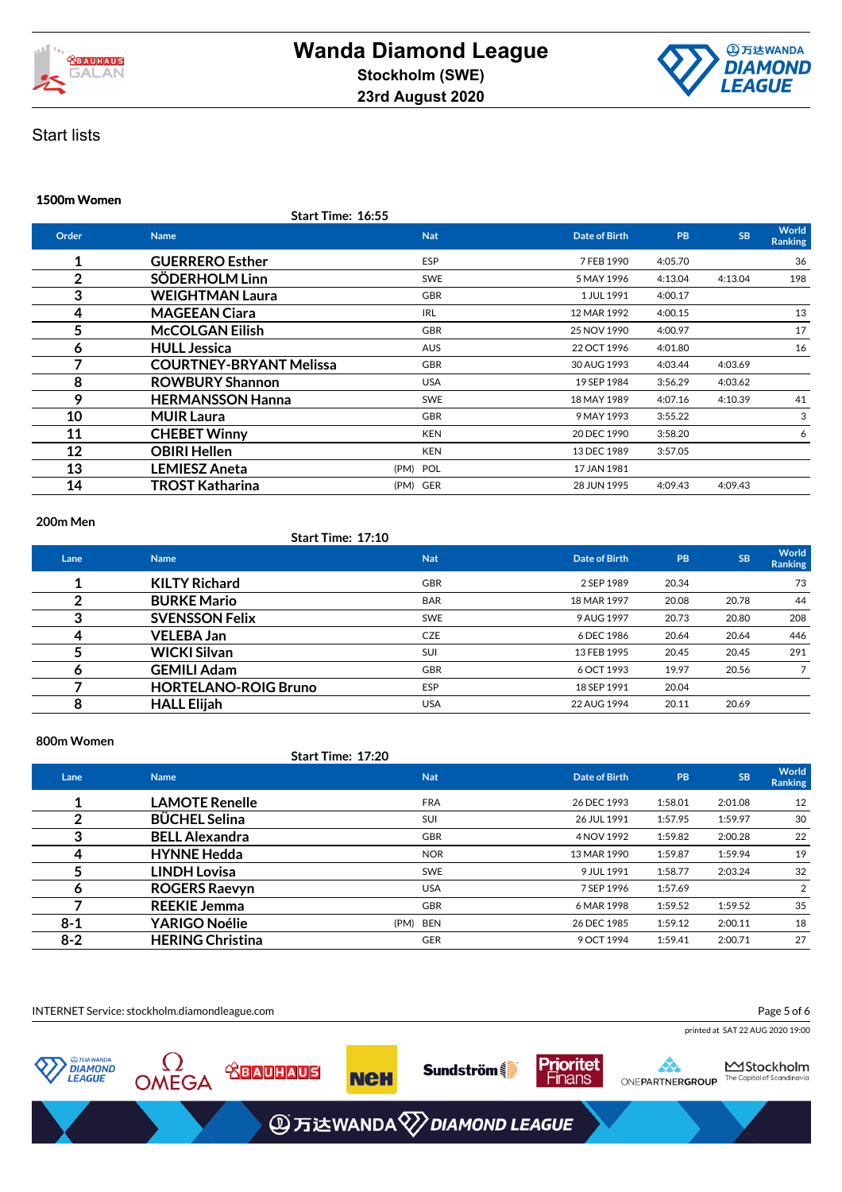



#### **1500m Women**

**Start Time: 16:55**

| Order          | <b>Name</b>                    | <b>Nat</b> | Date of Birth | <b>PB</b> | <b>SB</b> | World<br><b>Ranking</b> |
|----------------|--------------------------------|------------|---------------|-----------|-----------|-------------------------|
| 1              | <b>GUERRERO Esther</b>         | ESP        | 7 FEB 1990    | 4:05.70   |           | 36                      |
| $\overline{2}$ | SÖDERHOLM Linn                 | <b>SWE</b> | 5 MAY 1996    | 4:13.04   | 4:13.04   | 198                     |
| 3              | <b>WEIGHTMAN Laura</b>         | <b>GBR</b> | 1 JUL 1991    | 4:00.17   |           |                         |
| 4              | <b>MAGEEAN Ciara</b>           | <b>IRL</b> | 12 MAR 1992   | 4:00.15   |           | 13                      |
| 5              | <b>McCOLGAN Eilish</b>         | <b>GBR</b> | 25 NOV 1990   | 4:00.97   |           | 17                      |
| 6              | <b>HULL Jessica</b>            | <b>AUS</b> | 22 OCT 1996   | 4:01.80   |           | 16                      |
| 7              | <b>COURTNEY-BRYANT Melissa</b> | <b>GBR</b> | 30 AUG 1993   | 4:03.44   | 4:03.69   |                         |
| 8              | <b>ROWBURY Shannon</b>         | <b>USA</b> | 19 SEP 1984   | 3:56.29   | 4:03.62   |                         |
| 9              | <b>HERMANSSON Hanna</b>        | <b>SWE</b> | 18 MAY 1989   | 4:07.16   | 4:10.39   | 41                      |
| 10             | <b>MUIR Laura</b>              | <b>GBR</b> | 9 MAY 1993    | 3:55.22   |           | 3                       |
| 11             | <b>CHEBET Winny</b>            | <b>KEN</b> | 20 DEC 1990   | 3:58.20   |           | 6                       |
| 12             | <b>OBIRI Hellen</b>            | <b>KEN</b> | 13 DEC 1989   | 3:57.05   |           |                         |
| 13             | <b>LEMIESZ Aneta</b>           | (PM) POL   | 17 JAN 1981   |           |           |                         |
| 14             | <b>TROST Katharina</b>         | (PM) GER   | 28 JUN 1995   | 4:09.43   | 4:09.43   |                         |
|                |                                |            |               |           |           |                         |

### **200m Men**

### **Start Time: 17:10**

| Lane | <b>Name</b>                 | <b>Nat</b> | Date of Birth | PB    | <b>SB</b> | World<br><b>Ranking</b> |
|------|-----------------------------|------------|---------------|-------|-----------|-------------------------|
|      | <b>KILTY Richard</b>        | <b>GBR</b> | 2 SEP 1989    | 20.34 |           | 73                      |
|      | <b>BURKE Mario</b>          | <b>BAR</b> | 18 MAR 1997   | 20.08 | 20.78     | 44                      |
|      | <b>SVENSSON Felix</b>       | <b>SWE</b> | 9 AUG 1997    | 20.73 | 20.80     | 208                     |
| 4    | <b>VELEBA Jan</b>           | <b>CZE</b> | 6 DEC 1986    | 20.64 | 20.64     | 446                     |
|      | <b>WICKI Silvan</b>         | SUI        | 13 FEB 1995   | 20.45 | 20.45     | 291                     |
|      | <b>GEMILI Adam</b>          | <b>GBR</b> | 6 OCT 1993    | 19.97 | 20.56     |                         |
|      | <b>HORTELANO-ROIG Bruno</b> | <b>ESP</b> | 18 SEP 1991   | 20.04 |           |                         |
| 8    | <b>HALL Elijah</b>          | <b>USA</b> | 22 AUG 1994   | 20.11 | 20.69     |                         |

### **800m Women**

|         |                         | Start Time: 17:20 |               |         |           |                         |
|---------|-------------------------|-------------------|---------------|---------|-----------|-------------------------|
| Lane    | <b>Name</b>             | <b>Nat</b>        | Date of Birth | PB      | <b>SB</b> | World<br><b>Ranking</b> |
|         | <b>LAMOTE Renelle</b>   | <b>FRA</b>        | 26 DEC 1993   | 1:58.01 | 2:01.08   | 12                      |
| າ       | <b>BÜCHEL Selina</b>    | SUI               | 26 JUL 1991   | 1:57.95 | 1:59.97   | 30                      |
| 3       | <b>BELL Alexandra</b>   | <b>GBR</b>        | 4 NOV 1992    | 1:59.82 | 2:00.28   | 22                      |
| 4       | <b>HYNNE Hedda</b>      | <b>NOR</b>        | 13 MAR 1990   | 1:59.87 | 1:59.94   | 19                      |
|         | <b>LINDH Lovisa</b>     | <b>SWE</b>        | 9 JUL 1991    | 1:58.77 | 2:03.24   | 32                      |
| Ô       | <b>ROGERS Raevyn</b>    | <b>USA</b>        | 7 SEP 1996    | 1:57.69 |           | $\overline{2}$          |
|         | <b>REEKIE Jemma</b>     | <b>GBR</b>        | 6 MAR 1998    | 1:59.52 | 1:59.52   | 35                      |
| $8 - 1$ | <b>YARIGO Noélie</b>    | (PM)<br>BEN       | 26 DEC 1985   | 1:59.12 | 2:00.11   | 18                      |
| $8 - 2$ | <b>HERING Christina</b> | <b>GER</b>        | 9 OCT 1994    | 1:59.41 | 2:00.71   | 27                      |